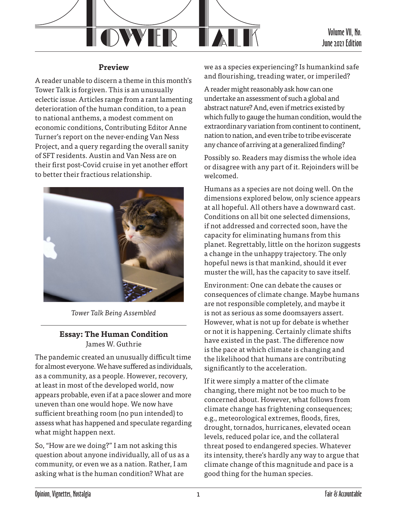

### **Preview**

A reader unable to discern a theme in this month's Tower Talk is forgiven. This is an unusually eclectic issue. Articles range from a rant lamenting deterioration of the human condition, to a pean to national anthems, a modest comment on economic conditions, Contributing Editor Anne Turner's report on the never-ending Van Ness Project, and a query regarding the overall sanity of SFT residents. Austin and Van Ness are on their first post-Covid cruise in yet another effort to better their fractious relationship.



*Tower Talk Being Assembled*

## **Essay: The Human Condition** James W. Guthrie

The pandemic created an unusually difficult time for almost everyone. We have suffered as individuals, as a community, as a people. However, recovery, at least in most of the developed world, now appears probable, even if at a pace slower and more uneven than one would hope. We now have sufficient breathing room (no pun intended) to assess what has happened and speculate regarding what might happen next.

So, "How are we doing?" I am not asking this question about anyone individually, all of us as a community, or even we as a nation. Rather, I am asking what is the human condition? What are

we as a species experiencing? Is humankind safe and flourishing, treading water, or imperiled?

A reader might reasonably ask how can one undertake an assessment of such a global and abstract nature? And, even if metrics existed by which fully to gauge the human condition, would the extraordinary variation from continent to continent, nation to nation, and even tribe to tribe eviscerate any chance of arriving at a generalized finding?

Possibly so. Readers may dismiss the whole idea or disagree with any part of it. Rejoinders will be welcomed.

Humans as a species are not doing well. On the dimensions explored below, only science appears at all hopeful. All others have a downward cast. Conditions on all bit one selected dimensions, if not addressed and corrected soon, have the capacity for eliminating humans from this planet. Regrettably, little on the horizon suggests a change in the unhappy trajectory. The only hopeful news is that mankind, should it ever muster the will, has the capacity to save itself.

Environment: One can debate the causes or consequences of climate change. Maybe humans are not responsible completely, and maybe it is not as serious as some doomsayers assert. However, what is not up for debate is whether or not it is happening. Certainly climate shifts have existed in the past. The difference now is the pace at which climate is changing and the likelihood that humans are contributing significantly to the acceleration.

If it were simply a matter of the climate changing, there might not be too much to be concerned about. However, what follows from climate change has frightening consequences; e.g., meteorological extremes, floods, fires, drought, tornados, hurricanes, elevated ocean levels, reduced polar ice, and the collateral threat posed to endangered species. Whatever its intensity, there's hardly any way to argue that climate change of this magnitude and pace is a good thing for the human species.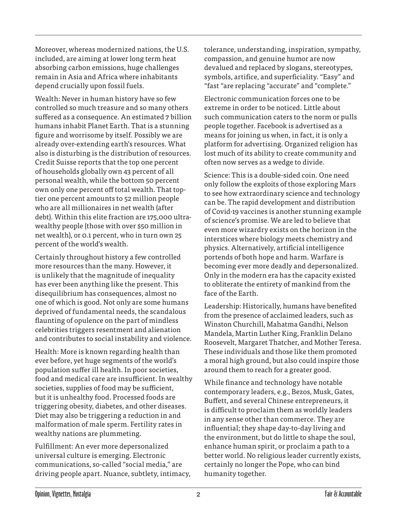Moreover, whereas modernized nations, the U.S. included, are aiming at lower long term heat absorbing carbon emissions, huge challenges remain in Asia and Africa where inhabitants depend crucially upon fossil fuels.

Wealth: Never in human history have so few controlled so much treasure and so many others suffered as a consequence. An estimated 7 billion humans inhabit Planet Earth. That is a stunning figure and worrisome by itself. Possibly we are already over-extending earth's resources. What also is disturbing is the distribution of resources. Credit Suisse reports that the top one percent of households globally own 43 percent of all personal wealth, while the bottom 50 percent own only one percent off total wealth. That toptier one percent amounts to 52 million people who are all millionaires in net wealth (after debt). Within this elite fraction are 175,000 ultrawealthy people (those with over \$50 million in net wealth), or 0.1 percent, who in turn own 25 percent of the world's wealth.

Certainly throughout history a few controlled more resources than the many. However, it is unlikely that the magnitude of inequality has ever been anything like the present. This disequilibrium has consequences, almost no one of which is good. Not only are some humans deprived of fundamental needs, the scandalous flaunting of opulence on the part of mindless celebrities triggers resentment and alienation and contributes to social instability and violence.

Health: More is known regarding health than ever before, yet huge segments of the world's population suffer ill health. In poor societies, food and medical care are insufficient. In wealthy societies, supplies of food may be sufficient, but it is unhealthy food. Processed foods are triggering obesity, diabetes, and other diseases. Diet may also be triggering a reduction in and malformation of male sperm. Fertility rates in wealthy nations are plummeting.

Fulfillment: An ever more depersonalized universal culture is emerging. Electronic communications, so-called "social media," are driving people apart. Nuance, subtlety, intimacy, tolerance, understanding, inspiration, sympathy, compassion, and genuine humor are now devalued and replaced by slogans, stereotypes, symbols, artifice, and superficiality. "Easy" and "fast "are replacing "accurate" and "complete."

Electronic communication forces one to be extreme in order to be noticed. Little about such communication caters to the norm or pulls people together. Facebook is advertised as a means for joining us when, in fact, it is only a platform for advertising. Organized religion has lost much of its ability to create community and often now serves as a wedge to divide.

Science: This is a double-sided coin. One need only follow the exploits of those exploring Mars to see how extraordinary science and technology can be. The rapid development and distribution of Covid-19 vaccines is another stunning example of science's promise. We are led to believe that even more wizardry exists on the horizon in the interstices where biology meets chemistry and physics. Alternatively, artificial intelligence portends of both hope and harm. Warfare is becoming ever more deadly and depersonalized. Only in the modern era has the capacity existed to obliterate the entirety of mankind from the face of the Earth.

Leadership: Historically, humans have benefited from the presence of acclaimed leaders, such as Winston Churchill, Mahatma Gandhi, Nelson Mandela, Martin Luther King, Franklin Delano Roosevelt, Margaret Thatcher, and Mother Teresa. These individuals and those like them promoted a moral high ground, but also could inspire those around them to reach for a greater good.

While finance and technology have notable contemporary leaders, e.g., Bezos, Musk, Gates, Buffett, and several Chinese entrepreneurs, it is difficult to proclaim them as worldly leaders in any sense other than commerce. They are influential; they shape day-to-day living and the environment, but do little to shape the soul, enhance human spirit, or proclaim a path to a better world. No religious leader currently exists, certainly no longer the Pope, who can bind humanity together.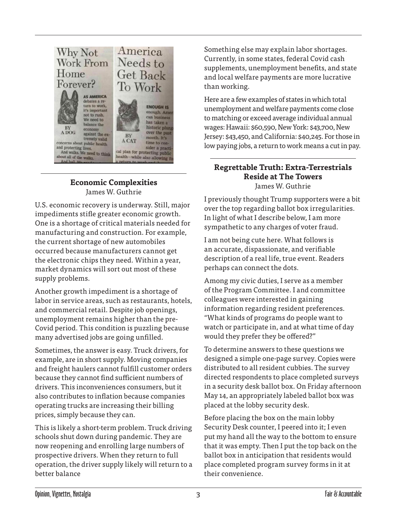

### **Economic Complexities** James W. Guthrie

U.S. economic recovery is underway. Still, major impediments stifle greater economic growth. One is a shortage of critical materials needed for manufacturing and construction. For example, the current shortage of new automobiles occurred because manufacturers cannot get the electronic chips they need. Within a year, market dynamics will sort out most of these supply problems.

Another growth impediment is a shortage of labor in service areas, such as restaurants, hotels, and commercial retail. Despite job openings, unemployment remains higher than the pre-Covid period. This condition is puzzling because many advertised jobs are going unfilled.

Sometimes, the answer is easy. Truck drivers, for example, are in short supply. Moving companies and freight haulers cannot fulfill customer orders because they cannot find sufficient numbers of drivers. This inconveniences consumers, but it also contributes to inflation because companies operating trucks are increasing their billing prices, simply because they can.

This is likely a short-term problem. Truck driving schools shut down during pandemic. They are now reopening and enrolling large numbers of prospective drivers. When they return to full operation, the driver supply likely will return to a better balance

Something else may explain labor shortages. Currently, in some states, federal Covid cash supplements, unemployment benefits, and state and local welfare payments are more lucrative than working.

Here are a few examples of states in which total unemployment and welfare payments come close to matching or exceed average individual annual wages: Hawaii: \$60,590, New York: \$43,700, New Jersey: \$43,450, and California: \$40,245. For those in low paying jobs, a return to work means a cut in pay.

#### **Regrettable Truth: Extra-Terrestrials Reside at The Towers** James W. Guthrie

I previously thought Trump supporters were a bit over the top regarding ballot box irregularities. In light of what I describe below, I am more sympathetic to any charges of voter fraud.

I am not being cute here. What follows is an accurate, dispassionate, and verifiable description of a real life, true event. Readers perhaps can connect the dots.

Among my civic duties, I serve as a member of the Program Committee. I and committee colleagues were interested in gaining information regarding resident preferences. "What kinds of programs do people want to watch or participate in, and at what time of day would they prefer they be offered?"

To determine answers to these questions we designed a simple one-page survey. Copies were distributed to all resident cubbies. The survey directed respondents to place completed surveys in a security desk ballot box. On Friday afternoon May 14, an appropriately labeled ballot box was placed at the lobby security desk.

Before placing the box on the main lobby Security Desk counter, I peered into it; I even put my hand all the way to the bottom to ensure that it was empty. Then I put the top back on the ballot box in anticipation that residents would place completed program survey forms in it at their convenience.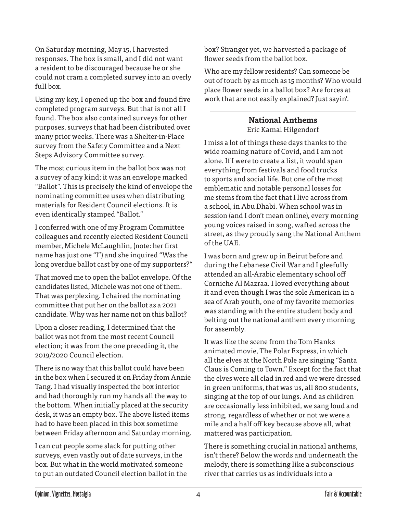On Saturday morning, May 15, I harvested responses. The box is small, and I did not want a resident to be discouraged because he or she could not cram a completed survey into an overly full box.

Using my key, I opened up the box and found five completed program surveys. But that is not all I found. The box also contained surveys for other purposes, surveys that had been distributed over many prior weeks. There was a Shelter-in-Place survey from the Safety Committee and a Next Steps Advisory Committee survey.

The most curious item in the ballot box was not a survey of any kind; it was an envelope marked "Ballot". This is precisely the kind of envelope the nominating committee uses when distributing materials for Resident Council elections. It is even identically stamped "Ballot."

I conferred with one of my Program Committee colleagues and recently elected Resident Council member, Michele McLaughlin, (note: her first name has just one "l") and she inquired "Was the long overdue ballot cast by one of my supporters?"

That moved me to open the ballot envelope. Of the candidates listed, Michele was not one of them. That was perplexing. I chaired the nominating committee that put her on the ballot as a 2021 candidate. Why was her name not on this ballot?

Upon a closer reading, I determined that the ballot was not from the most recent Council election; it was from the one preceding it, the 2019/2020 Council election.

There is no way that this ballot could have been in the box when I secured it on Friday from Annie Tang. I had visually inspected the box interior and had thoroughly run my hands all the way to the bottom. When initially placed at the security desk, it was an empty box. The above listed items had to have been placed in this box sometime between Friday afternoon and Saturday morning.

I can cut people some slack for putting other surveys, even vastly out of date surveys, in the box. But what in the world motivated someone to put an outdated Council election ballot in the box? Stranger yet, we harvested a package of flower seeds from the ballot box.

Who are my fellow residents? Can someone be out of touch by as much as 15 months? Who would place flower seeds in a ballot box? Are forces at work that are not easily explained? Just sayin'.

> **National Anthems** Eric Kamal Hilgendorf

I miss a lot of things these days thanks to the wide roaming nature of Covid, and I am not alone. If I were to create a list, it would span everything from festivals and food trucks to sports and social life. But one of the most emblematic and notable personal losses for me stems from the fact that I live across from a school, in Abu Dhabi. When school was in session (and I don't mean online), every morning young voices raised in song, wafted across the street, as they proudly sang the National Anthem of the UAE.

I was born and grew up in Beirut before and during the Lebanese Civil War and I gleefully attended an all-Arabic elementary school off Corniche Al Mazraa. I loved everything about it and even though I was the sole American in a sea of Arab youth, one of my favorite memories was standing with the entire student body and belting out the national anthem every morning for assembly.

It was like the scene from the Tom Hanks animated movie, The Polar Express, in which all the elves at the North Pole are singing "Santa Claus is Coming to Town." Except for the fact that the elves were all clad in red and we were dressed in green uniforms, that was us, all 800 students, singing at the top of our lungs. And as children are occasionally less inhibited, we sang loud and strong, regardless of whether or not we were a mile and a half off key because above all, what mattered was participation.

There is something crucial in national anthems, isn't there? Below the words and underneath the melody, there is something like a subconscious river that carries us as individuals into a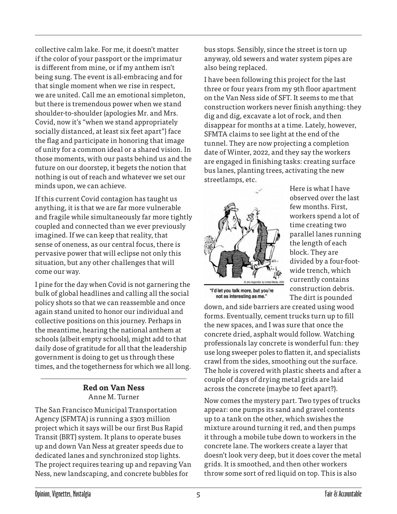collective calm lake. For me, it doesn't matter if the color of your passport or the imprimatur is different from mine, or if my anthem isn't being sung. The event is all-embracing and for that single moment when we rise in respect, we are united. Call me an emotional simpleton, but there is tremendous power when we stand shoulder-to-shoulder (apologies Mr. and Mrs. Covid, now it's "when we stand appropriately socially distanced, at least six feet apart") face the flag and participate in honoring that image of unity for a common ideal or a shared vision. In those moments, with our pasts behind us and the future on our doorstep, it begets the notion that nothing is out of reach and whatever we set our minds upon, we can achieve.

If this current Covid contagion has taught us anything, it is that we are far more vulnerable and fragile while simultaneously far more tightly coupled and connected than we ever previously imagined. If we can keep that reality, that sense of oneness, as our central focus, there is pervasive power that will eclipse not only this situation, but any other challenges that will come our way.

I pine for the day when Covid is not garnering the bulk of global headlines and calling all the social policy shots so that we can reassemble and once again stand united to honor our individual and collective positions on this journey. Perhaps in the meantime, hearing the national anthem at schools (albeit empty schools), might add to that daily dose of gratitude for all that the leadership government is doing to get us through these times, and the togetherness for which we all long.

# **Red on Van Ness** Anne M. Turner

The San Francisco Municipal Transportation Agency (SFMTA) is running a \$303 million project which it says will be our first Bus Rapid Transit (BRT) system. It plans to operate buses up and down Van Ness at greater speeds due to dedicated lanes and synchronized stop lights. The project requires tearing up and repaving Van Ness, new landscaping, and concrete bubbles for

bus stops. Sensibly, since the street is torn up anyway, old sewers and water system pipes are also being replaced.

I have been following this project for the last three or four years from my 9th floor apartment on the Van Ness side of SFT. It seems to me that construction workers never finish anything: they dig and dig, excavate a lot of rock, and then disappear for months at a time. Lately, however, SFMTA claims to see light at the end of the tunnel. They are now projecting a completion date of Winter, 2022, and they say the workers are engaged in finishing tasks: creating surface bus lanes, planting trees, activating the new streetlamps, etc.



Here is what I have observed over the last few months. First, workers spend a lot of time creating two parallel lanes running the length of each block. They are divided by a four-footwide trench, which currently contains construction debris. The dirt is pounded

"I'd let you talk more, but you're not as interesting as me."

down, and side barriers are created using wood forms. Eventually, cement trucks turn up to fill the new spaces, and I was sure that once the concrete dried, asphalt would follow. Watching professionals lay concrete is wonderful fun: they use long sweeper poles to flatten it, and specialists crawl from the sides, smoothing out the surface. The hole is covered with plastic sheets and after a couple of days of drying metal grids are laid across the concrete (maybe 10 feet apart?).

Now comes the mystery part. Two types of trucks appear: one pumps its sand and gravel contents up to a tank on the other, which swishes the mixture around turning it red, and then pumps it through a mobile tube down to workers in the concrete lane. The workers create a layer that doesn't look very deep, but it does cover the metal grids. It is smoothed, and then other workers throw some sort of red liquid on top. This is also